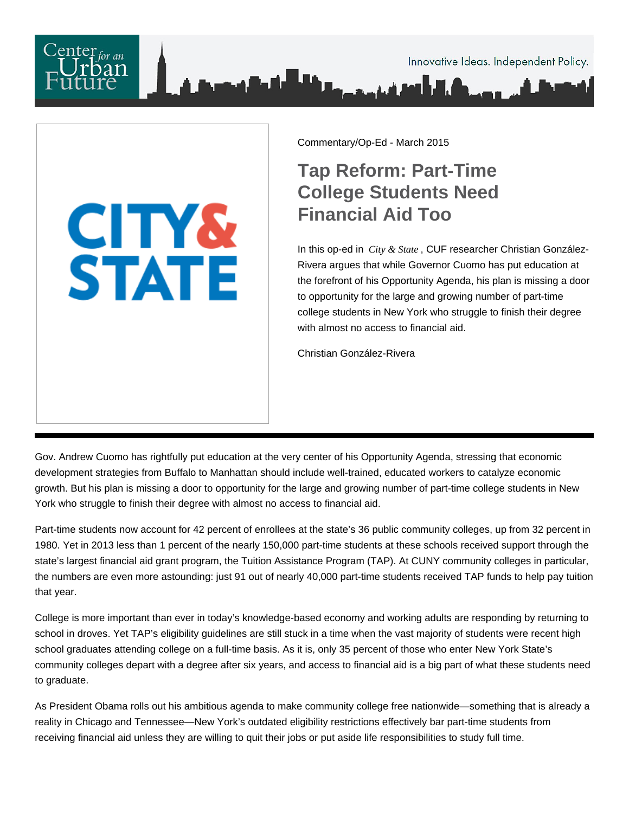**CITY&<br>STATE** 

Commentary/Op-Ed - March 2015

## **Tap Reform: Part-Time College Students Need Financial Aid Too**

In this op-ed in *City & State* , CUF researcher Christian González-Rivera argues that while Governor Cuomo has put education at the forefront of his Opportunity Agenda, his plan is missing a door to opportunity for the large and growing number of part-time college students in New York who struggle to finish their degree with almost no access to financial aid.

Christian González-Rivera

Gov. Andrew Cuomo has rightfully put education at the very center of his Opportunity Agenda, stressing that economic development strategies from Buffalo to Manhattan should include well-trained, educated workers to catalyze economic growth. But his plan is missing a door to opportunity for the large and growing number of part-time college students in New York who struggle to finish their degree with almost no access to financial aid.

Part-time students now account for 42 percent of enrollees at the state's 36 public community colleges, up from 32 percent in 1980. Yet in 2013 less than 1 percent of the nearly 150,000 part-time students at these schools received support through the state's largest financial aid grant program, the Tuition Assistance Program (TAP). At CUNY community colleges in particular, the numbers are even more astounding: just 91 out of nearly 40,000 part-time students received TAP funds to help pay tuition that year.

College is more important than ever in today's knowledge-based economy and working adults are responding by returning to school in droves. Yet TAP's eligibility guidelines are still stuck in a time when the vast majority of students were recent high school graduates attending college on a full-time basis. As it is, only 35 percent of those who enter New York State's community colleges depart with a degree after six years, and access to financial aid is a big part of what these students need to graduate.

As President Obama rolls out his ambitious agenda to make community college free nationwide—something that is already a reality in Chicago and Tennessee—New York's outdated eligibility restrictions effectively bar part-time students from receiving financial aid unless they are willing to quit their jobs or put aside life responsibilities to study full time.